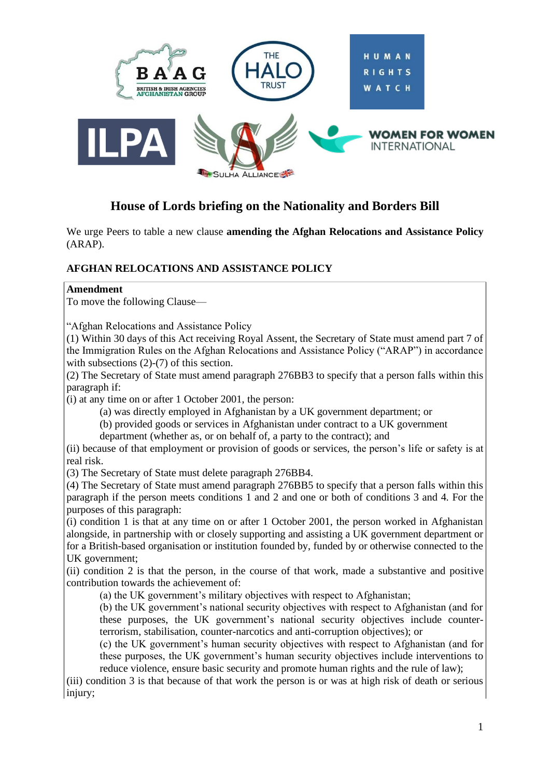

# **House of Lords briefing on the Nationality and Borders Bill**

We urge Peers to table a new clause **amending the Afghan Relocations and Assistance Policy** (ARAP).

## **AFGHAN RELOCATIONS AND ASSISTANCE POLICY**

### **Amendment**

To move the following Clause—

"Afghan Relocations and Assistance Policy

(1) Within 30 days of this Act receiving Royal Assent, the Secretary of State must amend part 7 of the Immigration Rules on the Afghan Relocations and Assistance Policy ("ARAP") in accordance with subsections (2)-(7) of this section.

(2) The Secretary of State must amend paragraph 276BB3 to specify that a person falls within this paragraph if:

(i) at any time on or after 1 October 2001, the person:

(a) was directly employed in Afghanistan by a UK government department; or

(b) provided goods or services in Afghanistan under contract to a UK government

department (whether as, or on behalf of, a party to the contract); and

(ii) because of that employment or provision of goods or services, the person's life or safety is at real risk.

(3) The Secretary of State must delete paragraph 276BB4.

(4) The Secretary of State must amend paragraph 276BB5 to specify that a person falls within this paragraph if the person meets conditions 1 and 2 and one or both of conditions 3 and 4. For the purposes of this paragraph:

(i) condition 1 is that at any time on or after 1 October 2001, the person worked in Afghanistan alongside, in partnership with or closely supporting and assisting a UK government department or for a British-based organisation or institution founded by, funded by or otherwise connected to the UK government;

(ii) condition 2 is that the person, in the course of that work, made a substantive and positive contribution towards the achievement of:

(a) the UK government's military objectives with respect to Afghanistan;

(b) the UK government's national security objectives with respect to Afghanistan (and for these purposes, the UK government's national security objectives include counterterrorism, stabilisation, counter-narcotics and anti-corruption objectives); or

(c) the UK government's human security objectives with respect to Afghanistan (and for these purposes, the UK government's human security objectives include interventions to reduce violence, ensure basic security and promote human rights and the rule of law);

(iii) condition 3 is that because of that work the person is or was at high risk of death or serious injury: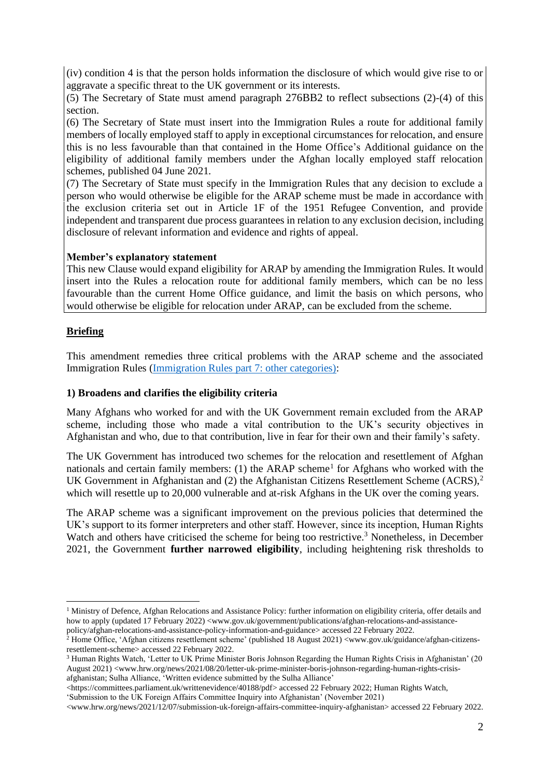(iv) condition 4 is that the person holds information the disclosure of which would give rise to or aggravate a specific threat to the UK government or its interests.

(5) The Secretary of State must amend paragraph 276BB2 to reflect subsections (2)-(4) of this section.

(6) The Secretary of State must insert into the Immigration Rules a route for additional family members of locally employed staff to apply in exceptional circumstances for relocation, and ensure this is no less favourable than that contained in the Home Office's Additional guidance on the eligibility of additional family members under the Afghan locally employed staff relocation schemes, published 04 June 2021.

(7) The Secretary of State must specify in the Immigration Rules that any decision to exclude a person who would otherwise be eligible for the ARAP scheme must be made in accordance with the exclusion criteria set out in Article 1F of the 1951 Refugee Convention, and provide independent and transparent due process guarantees in relation to any exclusion decision, including disclosure of relevant information and evidence and rights of appeal.

#### **Member's explanatory statement**

This new Clause would expand eligibility for ARAP by amending the Immigration Rules. It would insert into the Rules a relocation route for additional family members, which can be no less favourable than the current Home Office guidance, and limit the basis on which persons, who would otherwise be eligible for relocation under ARAP, can be excluded from the scheme.

### **Briefing**

This amendment remedies three critical problems with the ARAP scheme and the associated Immigration Rules [\(Immigration Rules part 7: other categories\):](https://nam02.safelinks.protection.outlook.com/?url=https%3A%2F%2Fwww.gov.uk%2Fguidance%2Fimmigration-rules%2Fimmigration-rules-part-7-other-categories&data=04%7C01%7Cahmedy%40hrw.org%7Cd2ebd0581f1142d9417b08d9e7fb1f40%7C2eb79de4d8044273a6e64b3188855f66%7C0%7C0%7C637795888189923597%7CUnknown%7CTWFpbGZsb3d8eyJWIjoiMC4wLjAwMDAiLCJQIjoiV2luMzIiLCJBTiI6Ik1haWwiLCJXVCI6Mn0%3D%7C2000&sdata=pEH5CewAanZZd87dEhB25cOjbMbXlMTT5KI5DJkC3Hc%3D&reserved=0)

#### **1) Broadens and clarifies the eligibility criteria**

Many Afghans who worked for and with the UK Government remain excluded from the ARAP scheme, including those who made a vital contribution to the UK's security objectives in Afghanistan and who, due to that contribution, live in fear for their own and their family's safety.

The UK Government has introduced two schemes for the relocation and resettlement of Afghan nationals and certain family members: (1) the ARAP scheme<sup>1</sup> for Afghans who worked with the UK Government in Afghanistan and  $(2)$  the Afghanistan Citizens Resettlement Scheme  $(ACRS),<sup>2</sup>$ which will resettle up to 20,000 vulnerable and at-risk Afghans in the UK over the coming years.

The ARAP scheme was a significant improvement on the previous policies that determined the UK's support to its former interpreters and other staff. However, since its inception, Human Rights Watch and others have criticised the scheme for being too restrictive.<sup>3</sup> Nonetheless, in December 2021, the Government **further narrowed eligibility**, including heightening risk thresholds to

[<https://committees.parliament.uk/writtenevidence/40188/pdf> accessed 22 February 2022;](https://committees.parliament.uk/writtenevidence/40188/pdf/) Human Rights Watch,

'Submission to the UK Foreign Affairs Committee Inquiry into Afghanistan' (November 2021)

<sup>&</sup>lt;sup>1</sup> Ministry of Defence, Afghan Relocations and Assistance Policy: further information on eligibility criteria, offer details and how to apply (updated 17 February 2022) [<www.gov.uk/government/publications/afghan-relocations-and-assistance](http://www.gov.uk/government/publications/afghan-relocations-and-assistance-policy/afghan-relocations-and-assistance-policy-information-and-guidance)[policy/afghan-relocations-and-assistance-policy-information-and-guidance>](http://www.gov.uk/government/publications/afghan-relocations-and-assistance-policy/afghan-relocations-and-assistance-policy-information-and-guidance) accessed 22 February 2022.

<sup>&</sup>lt;sup>2</sup> Home Office, 'Afghan citizens resettlement scheme' (published 18 August 2021) [<www.gov.uk/guidance/afghan-citizens](http://www.gov.uk/guidance/afghan-citizens-resettlement-scheme)[resettlement-scheme>](http://www.gov.uk/guidance/afghan-citizens-resettlement-scheme) accessed 22 February 2022.

<sup>&</sup>lt;sup>3</sup> Human Rights Watch, 'Letter to UK Prime Minister Boris Johnson Regarding the Human Rights Crisis in Afghanistan' (20 August 2021) [<www.hrw.org/news/2021/08/20/letter-uk-prime-minister-boris-johnson-regarding-human-rights-crisis](https://www.hrw.org/news/2021/08/20/letter-uk-prime-minister-boris-johnson-regarding-human-rights-crisis-afghanistan)[afghanistan;](https://www.hrw.org/news/2021/08/20/letter-uk-prime-minister-boris-johnson-regarding-human-rights-crisis-afghanistan) Sulha Alliance, 'Written evidence submitted by the Sulha Alliance'

[<sup>&</sup>lt;www.hrw.org/news/2021/12/07/submission-uk-foreign-affairs-committee-inquiry-afghanistan>](https://www.hrw.org/news/2021/12/07/submission-uk-foreign-affairs-committee-inquiry-afghanistan) accessed 22 February 2022.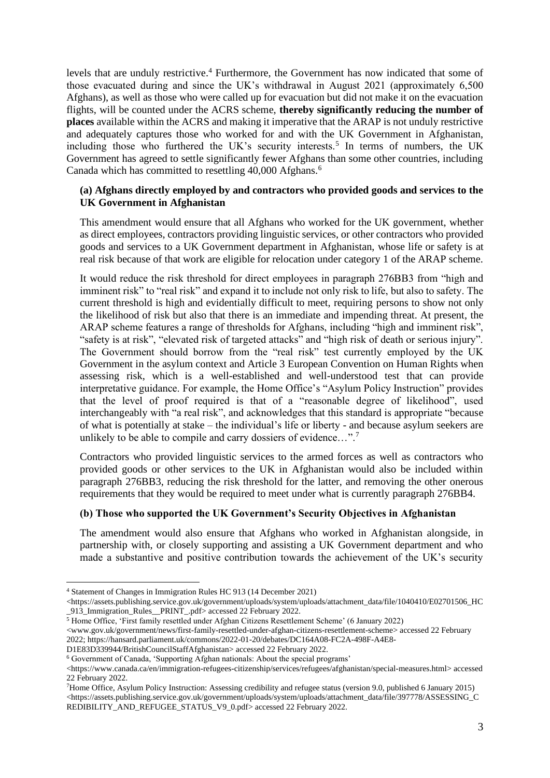levels that are unduly restrictive. <sup>4</sup> Furthermore, the Government has now indicated that some of those evacuated during and since the UK's withdrawal in August 2021 (approximately 6,500 Afghans), as well as those who were called up for evacuation but did not make it on the evacuation flights, will be counted under the ACRS scheme, **thereby significantly reducing the number of places** available within the ACRS and making it imperative that the ARAP is not unduly restrictive and adequately captures those who worked for and with the UK Government in Afghanistan, including those who furthered the UK's security interests.<sup>5</sup> In terms of numbers, the UK Government has agreed to settle significantly fewer Afghans than some other countries, including Canada which has committed to resettling 40,000 Afghans.<sup>6</sup>

### **(a) Afghans directly employed by and contractors who provided goods and services to the UK Government in Afghanistan**

This amendment would ensure that all Afghans who worked for the UK government, whether as direct employees, contractors providing linguistic services, or other contractors who provided goods and services to a UK Government department in Afghanistan, whose life or safety is at real risk because of that work are eligible for relocation under category 1 of the ARAP scheme.

It would reduce the risk threshold for direct employees in paragraph 276BB3 from "high and imminent risk" to "real risk" and expand it to include not only risk to life, but also to safety. The current threshold is high and evidentially difficult to meet, requiring persons to show not only the likelihood of risk but also that there is an immediate and impending threat. At present, the ARAP scheme features a range of thresholds for Afghans, including "high and imminent risk", "safety is at risk", "elevated risk of targeted attacks" and "high risk of death or serious injury". The Government should borrow from the "real risk" test currently employed by the UK Government in the asylum context and Article 3 European Convention on Human Rights when assessing risk, which is a well-established and well-understood test that can provide interpretative guidance. For example, the Home Office's "Asylum Policy Instruction" provides that the level of proof required is that of a "reasonable degree of likelihood", used interchangeably with "a real risk", and acknowledges that this standard is appropriate "because of what is potentially at stake – the individual's life or liberty - and because asylum seekers are unlikely to be able to compile and carry dossiers of evidence...".<sup>7</sup>

Contractors who provided linguistic services to the armed forces as well as contractors who provided goods or other services to the UK in Afghanistan would also be included within paragraph 276BB3, reducing the risk threshold for the latter, and removing the other onerous requirements that they would be required to meet under what is currently paragraph 276BB4.

### **(b) Those who supported the UK Government's Security Objectives in Afghanistan**

The amendment would also ensure that Afghans who worked in Afghanistan alongside, in partnership with, or closely supporting and assisting a UK Government department and who made a substantive and positive contribution towards the achievement of the UK's security

<sup>5</sup> Home Office, 'First family resettled under Afghan Citizens Resettlement Scheme' (6 January 2022)

 $\langle$ https://assets.publishing.service.gov.uk/government/uploads/system/uploads/attachment\_data/file/397778/ASSESSING\_C [REDIBILITY\\_AND\\_REFUGEE\\_STATUS\\_V9\\_0.pdf>](https://assets.publishing.service.gov.uk/government/uploads/system/uploads/attachment_data/file/397778/ASSESSING_CREDIBILITY_AND_REFUGEE_STATUS_V9_0.pdf) accessed 22 February 2022.

<sup>4</sup> Statement of Changes in Immigration Rules HC 913 (14 December 2021)

[<sup>&</sup>lt;https://assets.publishing.service.gov.uk/government/uploads/system/uploads/attachment\\_data/file/1040410/E02701506\\_HC](https://assets.publishing.service.gov.uk/government/uploads/system/uploads/attachment_data/file/1040410/E02701506_HC_913_Immigration_Rules__PRINT_.pdf) [\\_913\\_Immigration\\_Rules\\_\\_PRINT\\_.pdf>](https://assets.publishing.service.gov.uk/government/uploads/system/uploads/attachment_data/file/1040410/E02701506_HC_913_Immigration_Rules__PRINT_.pdf) accessed 22 February 2022.

[<sup>&</sup>lt;www.gov.uk/government/news/first-family-resettled-under-afghan-citizens-resettlement-scheme>](http://www.gov.uk/government/news/first-family-resettled-under-afghan-citizens-resettlement-scheme) accessed 22 February 2022[; https://hansard.parliament.uk/commons/2022-01-20/debates/DC164A08-FC2A-498F-A4E8-](https://hansard.parliament.uk/commons/2022-01-20/debates/DC164A08-FC2A-498F-A4E8-D1E83D339944/BritishCouncilStaffAfghanistan)

[D1E83D339944/BritishCouncilStaffAfghanistan>](https://hansard.parliament.uk/commons/2022-01-20/debates/DC164A08-FC2A-498F-A4E8-D1E83D339944/BritishCouncilStaffAfghanistan) accessed 22 February 2022.

<sup>6</sup> Government of Canada, 'Supporting Afghan nationals: About the special programs'

[<sup>&</sup>lt;https://www.canada.ca/en/immigration-refugees-citizenship/services/refugees/afghanistan/special-measures.html>](https://www.canada.ca/en/immigration-refugees-citizenship/services/refugees/afghanistan/special-measures.html) accessed 22 February 2022.

<sup>7</sup>Home Office, Asylum Policy Instruction: Assessing credibility and refugee status (version 9.0, published 6 January 2015)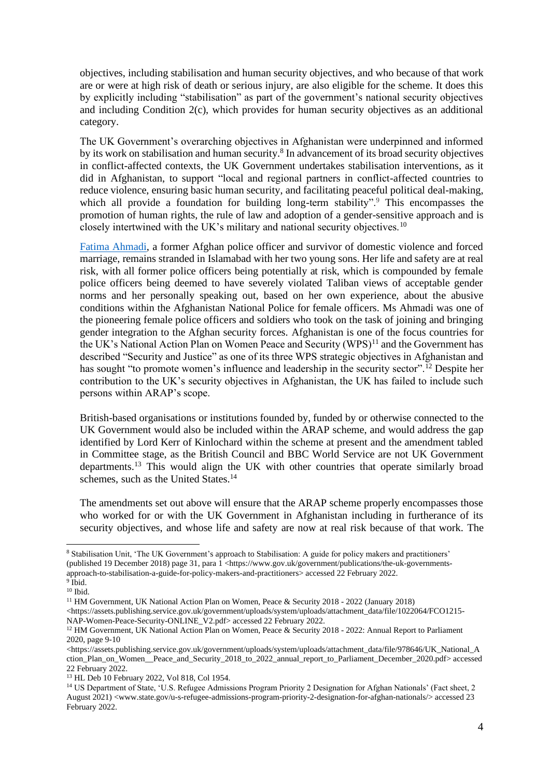objectives, including stabilisation and human security objectives, and who because of that work are or were at high risk of death or serious injury, are also eligible for the scheme. It does this by explicitly including "stabilisation" as part of the government's national security objectives and including Condition 2(c), which provides for human security objectives as an additional category.

The UK Government's overarching objectives in Afghanistan were underpinned and informed by its work on stabilisation and human security.<sup>8</sup> In advancement of its broad security objectives in conflict-affected contexts, the UK Government undertakes stabilisation interventions, as it did in Afghanistan, to support "local and regional partners in conflict-affected countries to reduce violence, ensuring basic human security, and facilitating peaceful political deal-making, which all provide a foundation for building long-term stability".<sup>9</sup> This encompasses the promotion of human rights, the rule of law and adoption of a gender-sensitive approach and is closely intertwined with the UK's military and national security objectives.<sup>10</sup>

[Fatima Ahmadi,](https://www.theguardian.com/world/2021/nov/14/i-loved-my-job-in-the-police-then-the-taliban-came-for-me) a former Afghan police officer and survivor of domestic violence and forced marriage, remains stranded in Islamabad with her two young sons. Her life and safety are at real risk, with all former police officers being potentially at risk, which is compounded by female police officers being deemed to have severely violated Taliban views of acceptable gender norms and her personally speaking out, based on her own experience, about the abusive conditions within the Afghanistan National Police for female officers. Ms Ahmadi was one of the pioneering female police officers and soldiers who took on the task of joining and bringing gender integration to the Afghan security forces. Afghanistan is one of the focus countries for the UK's National Action Plan on Women Peace and Security (WPS)<sup>11</sup> and the Government has described "Security and Justice" as one of its three WPS strategic objectives in Afghanistan and has sought "to promote women's influence and leadership in the security sector".<sup>12</sup> Despite her contribution to the UK's security objectives in Afghanistan, the UK has failed to include such persons within ARAP's scope.

British-based organisations or institutions founded by, funded by or otherwise connected to the UK Government would also be included within the ARAP scheme, and would address the gap identified by Lord Kerr of Kinlochard within the scheme at present and the amendment tabled in Committee stage, as the British Council and BBC World Service are not UK Government departments.<sup>13</sup> This would align the UK with other countries that operate similarly broad schemes, such as the United States.<sup>14</sup>

The amendments set out above will ensure that the ARAP scheme properly encompasses those who worked for or with the UK Government in Afghanistan including in furtherance of its security objectives, and whose life and safety are now at real risk because of that work. The

<sup>8</sup> Stabilisation Unit, 'The UK Government's approach to Stabilisation: A guide for policy makers and practitioners' (published 19 December 2018) page 31, para 1 [<https://www.gov.uk/government/publications/the-uk-governments](https://www.gov.uk/government/publications/the-uk-governments-approach-to-stabilisation-a-guide-for-policy-makers-and-practitioners)[approach-to-stabilisation-a-guide-for-policy-makers-and-practitioners>](https://www.gov.uk/government/publications/the-uk-governments-approach-to-stabilisation-a-guide-for-policy-makers-and-practitioners) accessed 22 February 2022.

<sup>9</sup> Ibid. <sup>10</sup> Ibid.

<sup>&</sup>lt;sup>11</sup> HM Government, UK National Action Plan on Women, Peace & Security 2018 - 2022 (January 2018)

[<sup>&</sup>lt;https://assets.publishing.service.gov.uk/government/uploads/system/uploads/attachment\\_data/file/1022064/FCO1215-](https://assets.publishing.service.gov.uk/government/uploads/system/uploads/attachment_data/file/1022064/FCO1215-NAP-Women-Peace-Security-ONLINE_V2.pdf) [NAP-Women-Peace-Security-ONLINE\\_V2.pdf>](https://assets.publishing.service.gov.uk/government/uploads/system/uploads/attachment_data/file/1022064/FCO1215-NAP-Women-Peace-Security-ONLINE_V2.pdf) accessed 22 February 2022.

<sup>&</sup>lt;sup>12</sup> HM Government, UK National Action Plan on Women, Peace & Security 2018 - 2022: Annual Report to Parliament 2020, page 9-10

[<sup>&</sup>lt;https://assets.publishing.service.gov.uk/government/uploads/system/uploads/attachment\\_data/file/978646/UK\\_National\\_A](https://assets.publishing.service.gov.uk/government/uploads/system/uploads/attachment_data/file/978646/UK_National_Action_Plan_on_Women__Peace_and_Security_2018_to_2022_annual_report_to_Parliament_December_2020.pdf) [ction\\_Plan\\_on\\_Women\\_\\_Peace\\_and\\_Security\\_2018\\_to\\_2022\\_annual\\_report\\_to\\_Parliament\\_December\\_2020.pdf>](https://assets.publishing.service.gov.uk/government/uploads/system/uploads/attachment_data/file/978646/UK_National_Action_Plan_on_Women__Peace_and_Security_2018_to_2022_annual_report_to_Parliament_December_2020.pdf) accessed 22 February 2022.

<sup>13</sup> HL Deb 10 February 2022, Vol 818, Col 1954.

<sup>&</sup>lt;sup>14</sup> US Department of State, 'U.S. Refugee Admissions Program Priority 2 Designation for Afghan Nationals' (Fact sheet, 2 August 2021) [<www.state.gov/u-s-refugee-admissions-program-priority-2-designation-for-afghan-nationals/>](http://www.state.gov/u-s-refugee-admissions-program-priority-2-designation-for-afghan-nationals/) accessed 23 February 2022.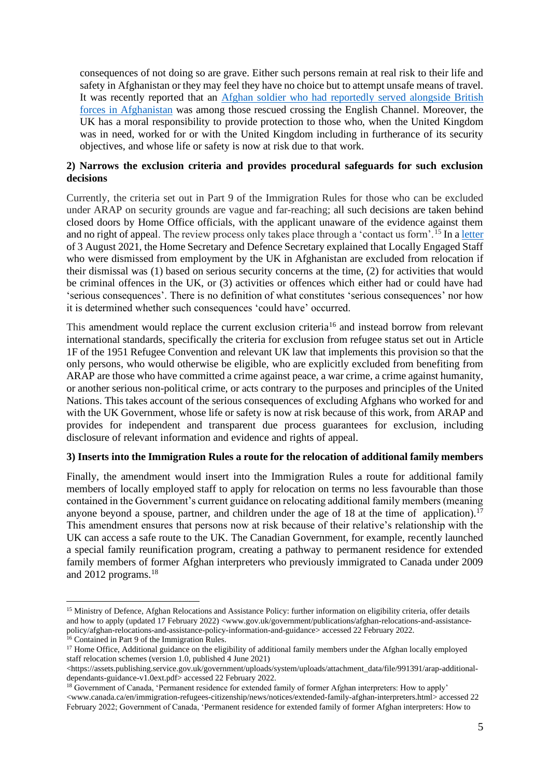consequences of not doing so are grave. Either such persons remain at real risk to their life and safety in Afghanistan or they may feel they have no choice but to attempt unsafe means of travel. It was recently reported that an [Afghan soldier who had reportedly served alongside British](https://www.thetimes.co.uk/article/children-and-babies-among-600-migrants-to-cross-channel-from-france-today-vshrwg7pv)  [forces in Afghanistan](https://www.thetimes.co.uk/article/children-and-babies-among-600-migrants-to-cross-channel-from-france-today-vshrwg7pv) was among those rescued crossing the English Channel. Moreover, the UK has a moral responsibility to provide protection to those who, when the United Kingdom was in need, worked for or with the United Kingdom including in furtherance of its security objectives, and whose life or safety is now at risk due to that work.

### **2) Narrows the exclusion criteria and provides procedural safeguards for such exclusion decisions**

Currently, the criteria set out in Part 9 of the Immigration Rules for those who can be excluded under ARAP on security grounds are vague and far-reaching; all such decisions are taken behind closed doors by Home Office officials, with the applicant unaware of the evidence against them and no right of appeal. The review process only takes place through a 'contact us form'.<sup>15</sup> In [a letter](https://www.gov.uk/government/speeches/afghan-relocation-and-assistance-policy) of 3 August 2021, the Home Secretary and Defence Secretary explained that Locally Engaged Staff who were dismissed from employment by the UK in Afghanistan are excluded from relocation if their dismissal was (1) based on serious security concerns at the time, (2) for activities that would be criminal offences in the UK, or (3) activities or offences which either had or could have had 'serious consequences'. There is no definition of what constitutes 'serious consequences' nor how it is determined whether such consequences 'could have' occurred.

This amendment would replace the current exclusion criteria<sup>16</sup> and instead borrow from relevant international standards, specifically the criteria for exclusion from refugee status set out in Article 1F of the 1951 Refugee Convention and relevant UK law that implements this provision so that the only persons, who would otherwise be eligible, who are explicitly excluded from benefiting from ARAP are those who have committed a crime against peace, a war crime, a crime against humanity, or another serious non-political crime, or acts contrary to the purposes and principles of the United Nations. This takes account of the serious consequences of excluding Afghans who worked for and with the UK Government, whose life or safety is now at risk because of this work, from ARAP and provides for independent and transparent due process guarantees for exclusion, including disclosure of relevant information and evidence and rights of appeal.

#### **3) Inserts into the Immigration Rules a route for the relocation of additional family members**

Finally, the amendment would insert into the Immigration Rules a route for additional family members of locally employed staff to apply for relocation on terms no less favourable than those contained in the Government's current guidance on relocating additional family members (meaning anyone beyond a spouse, partner, and children under the age of 18 at the time of application).<sup>17</sup> This amendment ensures that persons now at risk because of their relative's relationship with the UK can access a safe route to the UK. The Canadian Government, for example, recently launched a special family reunification program, creating a pathway to permanent residence for extended family members of former Afghan interpreters who previously immigrated to Canada under 2009 and 2012 programs.<sup>18</sup>

<sup>&</sup>lt;sup>15</sup> Ministry of Defence, Afghan Relocations and Assistance Policy: further information on eligibility criteria, offer details and how to apply (updated 17 February 2022) [<www.gov.uk/government/publications/afghan-relocations-and-assistance](http://www.gov.uk/government/publications/afghan-relocations-and-assistance-policy/afghan-relocations-and-assistance-policy-information-and-guidance)[policy/afghan-relocations-and-assistance-policy-information-and-guidance>](http://www.gov.uk/government/publications/afghan-relocations-and-assistance-policy/afghan-relocations-and-assistance-policy-information-and-guidance) accessed 22 February 2022.

<sup>16</sup> Contained in Part 9 of the Immigration Rules.

<sup>&</sup>lt;sup>17</sup> Home Office, Additional guidance on the eligibility of additional family members under the Afghan locally employed staff relocation schemes (version 1.0, published 4 June 2021)

[<sup>&</sup>lt;https://assets.publishing.service.gov.uk/government/uploads/system/uploads/attachment\\_data/file/991391/arap-additional](https://assets.publishing.service.gov.uk/government/uploads/system/uploads/attachment_data/file/991391/arap-additional-dependants-guidance-v1.0ext.pdf)[dependants-guidance-v1.0ext.pdf>](https://assets.publishing.service.gov.uk/government/uploads/system/uploads/attachment_data/file/991391/arap-additional-dependants-guidance-v1.0ext.pdf) accessed 22 February 2022.

<sup>&</sup>lt;sup>18</sup> Government of Canada, 'Permanent residence for extended family of former Afghan interpreters: How to apply' [<www.canada.ca/en/immigration-refugees-citizenship/news/notices/extended-family-afghan-interpreters.html>](http://www.canada.ca/en/immigration-refugees-citizenship/news/notices/extended-family-afghan-interpreters.html) accessed 22 February 2022; Government of Canada, 'Permanent residence for extended family of former Afghan interpreters: How to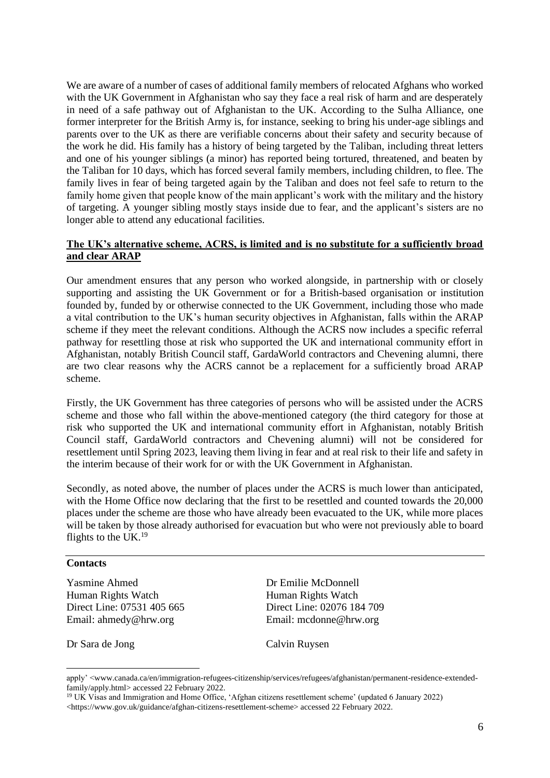We are aware of a number of cases of additional family members of relocated Afghans who worked with the UK Government in Afghanistan who say they face a real risk of harm and are desperately in need of a safe pathway out of Afghanistan to the UK. According to the Sulha Alliance, one former interpreter for the British Army is, for instance, seeking to bring his under-age siblings and parents over to the UK as there are verifiable concerns about their safety and security because of the work he did. His family has a history of being targeted by the Taliban, including threat letters and one of his younger siblings (a minor) has reported being tortured, threatened, and beaten by the Taliban for 10 days, which has forced several family members, including children, to flee. The family lives in fear of being targeted again by the Taliban and does not feel safe to return to the family home given that people know of the main applicant's work with the military and the history of targeting. A younger sibling mostly stays inside due to fear, and the applicant's sisters are no longer able to attend any educational facilities.

## **The UK's alternative scheme, ACRS, is limited and is no substitute for a sufficiently broad and clear ARAP**

Our amendment ensures that any person who worked alongside, in partnership with or closely supporting and assisting the UK Government or for a British-based organisation or institution founded by, funded by or otherwise connected to the UK Government, including those who made a vital contribution to the UK's human security objectives in Afghanistan, falls within the ARAP scheme if they meet the relevant conditions. Although the ACRS now includes a specific referral pathway for resettling those at risk who supported the UK and international community effort in Afghanistan, notably British Council staff, GardaWorld contractors and Chevening alumni, there are two clear reasons why the ACRS cannot be a replacement for a sufficiently broad ARAP scheme.

Firstly, the UK Government has three categories of persons who will be assisted under the ACRS scheme and those who fall within the above-mentioned category (the third category for those at risk who supported the UK and international community effort in Afghanistan, notably British Council staff, GardaWorld contractors and Chevening alumni) will not be considered for resettlement until Spring 2023, leaving them living in fear and at real risk to their life and safety in the interim because of their work for or with the UK Government in Afghanistan.

Secondly, as noted above, the number of places under the ACRS is much lower than anticipated, with the Home Office now declaring that the first to be resettled and counted towards the 20,000 places under the scheme are those who have already been evacuated to the UK, while more places will be taken by those already authorised for evacuation but who were not previously able to board flights to the UK.<sup>19</sup>

#### **Contacts**

Yasmine Ahmed Dr Emilie McDonnell Human Rights Watch Human Rights Watch Direct Line: 07531 405 665 Direct Line: 02076 184 709 Email: [ahmedy@hrw.org](mailto:ahmedy@hrw.org) Email: [mcdonne@hrw.org](mailto:mcdonne@hrw.org)

Dr Sara de Jong Calvin Ruysen

apply' [<www.canada.ca/en/immigration-refugees-citizenship/services/refugees/afghanistan/permanent-residence-extended](https://www.canada.ca/en/immigration-refugees-citizenship/services/refugees/afghanistan/permanent-residence-extended-family/apply.html)[family/apply.html>](https://www.canada.ca/en/immigration-refugees-citizenship/services/refugees/afghanistan/permanent-residence-extended-family/apply.html) accessed 22 February 2022.

<sup>19</sup> UK Visas and Immigration and Home Office, 'Afghan citizens resettlement scheme' (updated 6 January 2022) [<https://www.gov.uk/guidance/afghan-citizens-resettlement-scheme>](https://www.gov.uk/guidance/afghan-citizens-resettlement-scheme) accessed 22 February 2022.